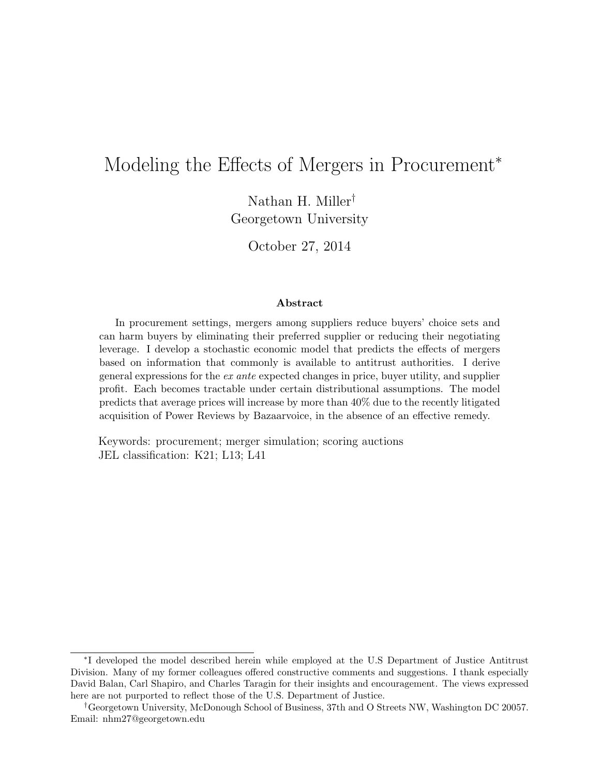# Modeling the Effects of Mergers in Procurement<sup>\*</sup>

Nathan H. Miller† Georgetown University

October 27, 2014

#### Abstract

In procurement settings, mergers among suppliers reduce buyers' choice sets and can harm buyers by eliminating their preferred supplier or reducing their negotiating leverage. I develop a stochastic economic model that predicts the effects of mergers based on information that commonly is available to antitrust authorities. I derive general expressions for the ex ante expected changes in price, buyer utility, and supplier profit. Each becomes tractable under certain distributional assumptions. The model predicts that average prices will increase by more than 40% due to the recently litigated acquisition of Power Reviews by Bazaarvoice, in the absence of an effective remedy.

Keywords: procurement; merger simulation; scoring auctions JEL classification: K21; L13; L41

<sup>∗</sup> I developed the model described herein while employed at the U.S Department of Justice Antitrust Division. Many of my former colleagues offered constructive comments and suggestions. I thank especially David Balan, Carl Shapiro, and Charles Taragin for their insights and encouragement. The views expressed here are not purported to reflect those of the U.S. Department of Justice.

<sup>†</sup>Georgetown University, McDonough School of Business, 37th and O Streets NW, Washington DC 20057. Email: nhm27@georgetown.edu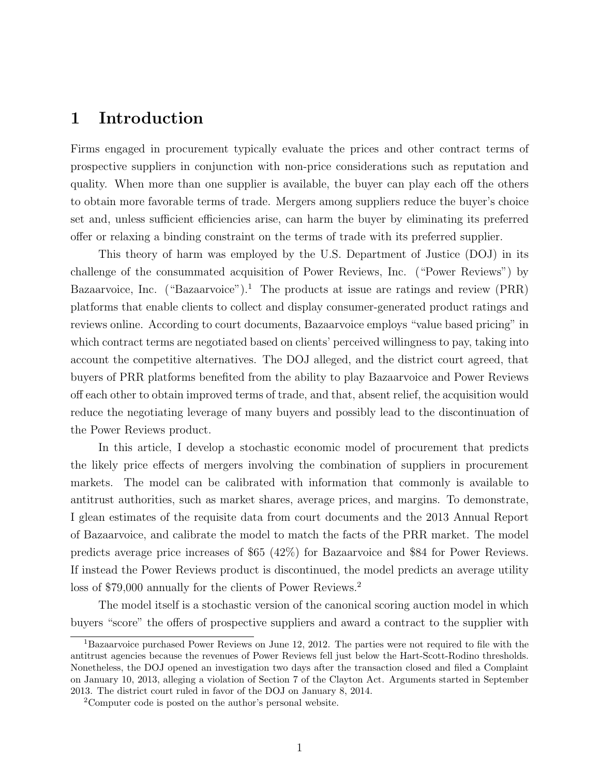### 1 Introduction

Firms engaged in procurement typically evaluate the prices and other contract terms of prospective suppliers in conjunction with non-price considerations such as reputation and quality. When more than one supplier is available, the buyer can play each off the others to obtain more favorable terms of trade. Mergers among suppliers reduce the buyer's choice set and, unless sufficient efficiencies arise, can harm the buyer by eliminating its preferred offer or relaxing a binding constraint on the terms of trade with its preferred supplier.

This theory of harm was employed by the U.S. Department of Justice (DOJ) in its challenge of the consummated acquisition of Power Reviews, Inc. ("Power Reviews") by Bazaarvoice, Inc. ("Bazaarvoice").<sup>1</sup> The products at issue are ratings and review (PRR) platforms that enable clients to collect and display consumer-generated product ratings and reviews online. According to court documents, Bazaarvoice employs "value based pricing" in which contract terms are negotiated based on clients' perceived willingness to pay, taking into account the competitive alternatives. The DOJ alleged, and the district court agreed, that buyers of PRR platforms benefited from the ability to play Bazaarvoice and Power Reviews off each other to obtain improved terms of trade, and that, absent relief, the acquisition would reduce the negotiating leverage of many buyers and possibly lead to the discontinuation of the Power Reviews product.

In this article, I develop a stochastic economic model of procurement that predicts the likely price effects of mergers involving the combination of suppliers in procurement markets. The model can be calibrated with information that commonly is available to antitrust authorities, such as market shares, average prices, and margins. To demonstrate, I glean estimates of the requisite data from court documents and the 2013 Annual Report of Bazaarvoice, and calibrate the model to match the facts of the PRR market. The model predicts average price increases of \$65 (42%) for Bazaarvoice and \$84 for Power Reviews. If instead the Power Reviews product is discontinued, the model predicts an average utility loss of \$79,000 annually for the clients of Power Reviews.<sup>2</sup>

The model itself is a stochastic version of the canonical scoring auction model in which buyers "score" the offers of prospective suppliers and award a contract to the supplier with

<sup>1</sup>Bazaarvoice purchased Power Reviews on June 12, 2012. The parties were not required to file with the antitrust agencies because the revenues of Power Reviews fell just below the Hart-Scott-Rodino thresholds. Nonetheless, the DOJ opened an investigation two days after the transaction closed and filed a Complaint on January 10, 2013, alleging a violation of Section 7 of the Clayton Act. Arguments started in September 2013. The district court ruled in favor of the DOJ on January 8, 2014.

<sup>2</sup>Computer code is posted on the author's personal website.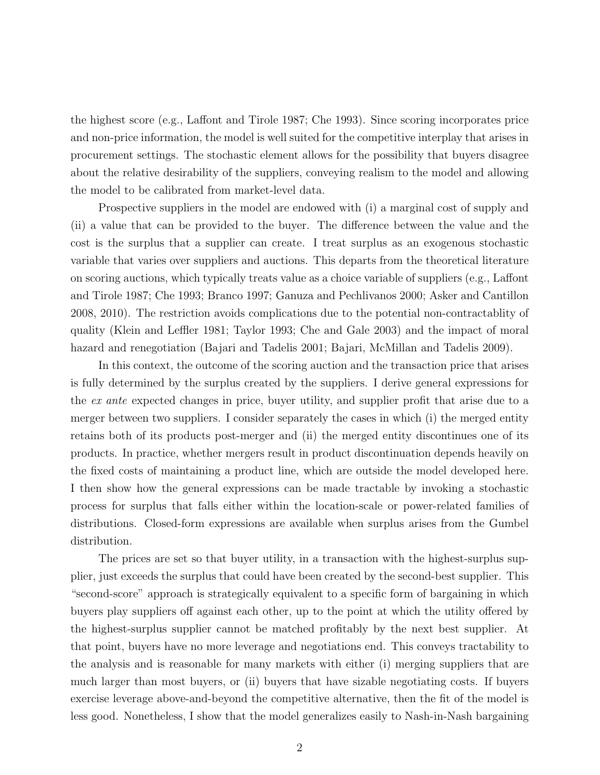the highest score (e.g., Laffont and Tirole 1987; Che 1993). Since scoring incorporates price and non-price information, the model is well suited for the competitive interplay that arises in procurement settings. The stochastic element allows for the possibility that buyers disagree about the relative desirability of the suppliers, conveying realism to the model and allowing the model to be calibrated from market-level data.

Prospective suppliers in the model are endowed with (i) a marginal cost of supply and (ii) a value that can be provided to the buyer. The difference between the value and the cost is the surplus that a supplier can create. I treat surplus as an exogenous stochastic variable that varies over suppliers and auctions. This departs from the theoretical literature on scoring auctions, which typically treats value as a choice variable of suppliers (e.g., Laffont and Tirole 1987; Che 1993; Branco 1997; Ganuza and Pechlivanos 2000; Asker and Cantillon 2008, 2010). The restriction avoids complications due to the potential non-contractablity of quality (Klein and Leffler 1981; Taylor 1993; Che and Gale 2003) and the impact of moral hazard and renegotiation (Bajari and Tadelis 2001; Bajari, McMillan and Tadelis 2009).

In this context, the outcome of the scoring auction and the transaction price that arises is fully determined by the surplus created by the suppliers. I derive general expressions for the ex ante expected changes in price, buyer utility, and supplier profit that arise due to a merger between two suppliers. I consider separately the cases in which (i) the merged entity retains both of its products post-merger and (ii) the merged entity discontinues one of its products. In practice, whether mergers result in product discontinuation depends heavily on the fixed costs of maintaining a product line, which are outside the model developed here. I then show how the general expressions can be made tractable by invoking a stochastic process for surplus that falls either within the location-scale or power-related families of distributions. Closed-form expressions are available when surplus arises from the Gumbel distribution.

The prices are set so that buyer utility, in a transaction with the highest-surplus supplier, just exceeds the surplus that could have been created by the second-best supplier. This "second-score" approach is strategically equivalent to a specific form of bargaining in which buyers play suppliers off against each other, up to the point at which the utility offered by the highest-surplus supplier cannot be matched profitably by the next best supplier. At that point, buyers have no more leverage and negotiations end. This conveys tractability to the analysis and is reasonable for many markets with either (i) merging suppliers that are much larger than most buyers, or (ii) buyers that have sizable negotiating costs. If buyers exercise leverage above-and-beyond the competitive alternative, then the fit of the model is less good. Nonetheless, I show that the model generalizes easily to Nash-in-Nash bargaining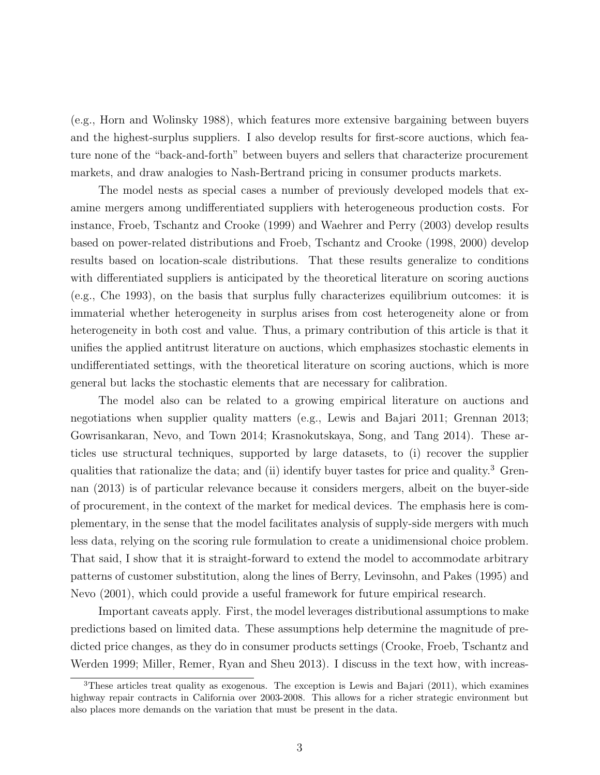(e.g., Horn and Wolinsky 1988), which features more extensive bargaining between buyers and the highest-surplus suppliers. I also develop results for first-score auctions, which feature none of the "back-and-forth" between buyers and sellers that characterize procurement markets, and draw analogies to Nash-Bertrand pricing in consumer products markets.

The model nests as special cases a number of previously developed models that examine mergers among undifferentiated suppliers with heterogeneous production costs. For instance, Froeb, Tschantz and Crooke (1999) and Waehrer and Perry (2003) develop results based on power-related distributions and Froeb, Tschantz and Crooke (1998, 2000) develop results based on location-scale distributions. That these results generalize to conditions with differentiated suppliers is anticipated by the theoretical literature on scoring auctions (e.g., Che 1993), on the basis that surplus fully characterizes equilibrium outcomes: it is immaterial whether heterogeneity in surplus arises from cost heterogeneity alone or from heterogeneity in both cost and value. Thus, a primary contribution of this article is that it unifies the applied antitrust literature on auctions, which emphasizes stochastic elements in undifferentiated settings, with the theoretical literature on scoring auctions, which is more general but lacks the stochastic elements that are necessary for calibration.

The model also can be related to a growing empirical literature on auctions and negotiations when supplier quality matters (e.g., Lewis and Bajari 2011; Grennan 2013; Gowrisankaran, Nevo, and Town 2014; Krasnokutskaya, Song, and Tang 2014). These articles use structural techniques, supported by large datasets, to (i) recover the supplier qualities that rationalize the data; and (ii) identify buyer tastes for price and quality.<sup>3</sup> Grennan (2013) is of particular relevance because it considers mergers, albeit on the buyer-side of procurement, in the context of the market for medical devices. The emphasis here is complementary, in the sense that the model facilitates analysis of supply-side mergers with much less data, relying on the scoring rule formulation to create a unidimensional choice problem. That said, I show that it is straight-forward to extend the model to accommodate arbitrary patterns of customer substitution, along the lines of Berry, Levinsohn, and Pakes (1995) and Nevo (2001), which could provide a useful framework for future empirical research.

Important caveats apply. First, the model leverages distributional assumptions to make predictions based on limited data. These assumptions help determine the magnitude of predicted price changes, as they do in consumer products settings (Crooke, Froeb, Tschantz and Werden 1999; Miller, Remer, Ryan and Sheu 2013). I discuss in the text how, with increas-

<sup>3</sup>These articles treat quality as exogenous. The exception is Lewis and Bajari (2011), which examines highway repair contracts in California over 2003-2008. This allows for a richer strategic environment but also places more demands on the variation that must be present in the data.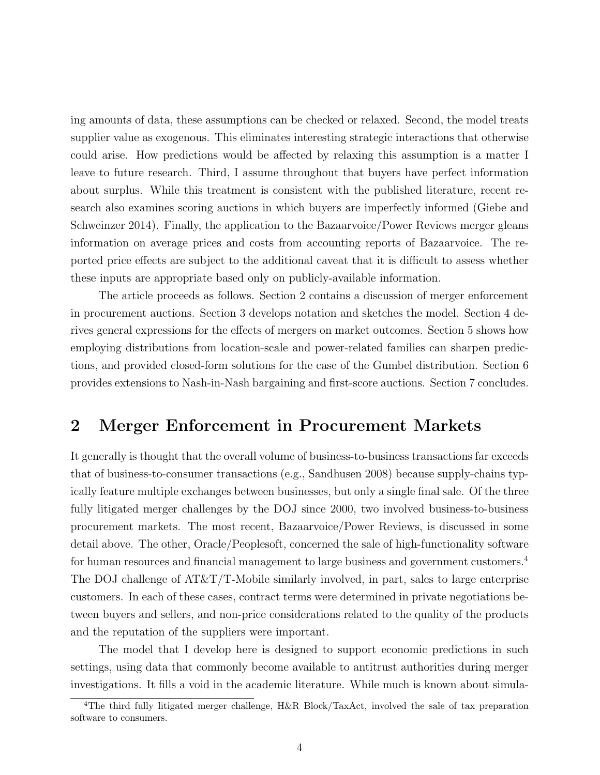ing amounts of data, these assumptions can be checked or relaxed. Second, the model treats supplier value as exogenous. This eliminates interesting strategic interactions that otherwise could arise. How predictions would be affected by relaxing this assumption is a matter I leave to future research. Third, I assume throughout that buyers have perfect information about surplus. While this treatment is consistent with the published literature, recent research also examines scoring auctions in which buyers are imperfectly informed (Giebe and Schweinzer 2014). Finally, the application to the Bazaarvoice/Power Reviews merger gleans information on average prices and costs from accounting reports of Bazaarvoice. The reported price effects are subject to the additional caveat that it is difficult to assess whether these inputs are appropriate based only on publicly-available information.

The article proceeds as follows. Section 2 contains a discussion of merger enforcement in procurement auctions. Section 3 develops notation and sketches the model. Section 4 derives general expressions for the effects of mergers on market outcomes. Section 5 shows how employing distributions from location-scale and power-related families can sharpen predictions, and provided closed-form solutions for the case of the Gumbel distribution. Section 6 provides extensions to Nash-in-Nash bargaining and first-score auctions. Section 7 concludes.

### 2 Merger Enforcement in Procurement Markets

It generally is thought that the overall volume of business-to-business transactions far exceeds that of business-to-consumer transactions (e.g., Sandhusen 2008) because supply-chains typically feature multiple exchanges between businesses, but only a single final sale. Of the three fully litigated merger challenges by the DOJ since 2000, two involved business-to-business procurement markets. The most recent, Bazaarvoice/Power Reviews, is discussed in some detail above. The other, Oracle/Peoplesoft, concerned the sale of high-functionality software for human resources and financial management to large business and government customers.<sup>4</sup> The DOJ challenge of AT&T/T-Mobile similarly involved, in part, sales to large enterprise customers. In each of these cases, contract terms were determined in private negotiations between buyers and sellers, and non-price considerations related to the quality of the products and the reputation of the suppliers were important.

The model that I develop here is designed to support economic predictions in such settings, using data that commonly become available to antitrust authorities during merger investigations. It fills a void in the academic literature. While much is known about simula-

<sup>&</sup>lt;sup>4</sup>The third fully litigated merger challenge, H&R Block/TaxAct, involved the sale of tax preparation software to consumers.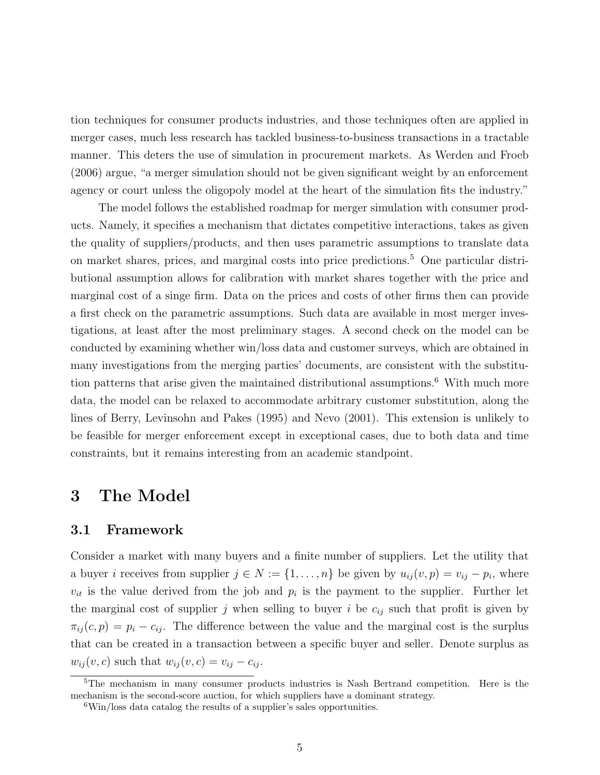tion techniques for consumer products industries, and those techniques often are applied in merger cases, much less research has tackled business-to-business transactions in a tractable manner. This deters the use of simulation in procurement markets. As Werden and Froeb (2006) argue, "a merger simulation should not be given significant weight by an enforcement agency or court unless the oligopoly model at the heart of the simulation fits the industry."

The model follows the established roadmap for merger simulation with consumer products. Namely, it specifies a mechanism that dictates competitive interactions, takes as given the quality of suppliers/products, and then uses parametric assumptions to translate data on market shares, prices, and marginal costs into price predictions.<sup>5</sup> One particular distributional assumption allows for calibration with market shares together with the price and marginal cost of a singe firm. Data on the prices and costs of other firms then can provide a first check on the parametric assumptions. Such data are available in most merger investigations, at least after the most preliminary stages. A second check on the model can be conducted by examining whether win/loss data and customer surveys, which are obtained in many investigations from the merging parties' documents, are consistent with the substitution patterns that arise given the maintained distributional assumptions.<sup>6</sup> With much more data, the model can be relaxed to accommodate arbitrary customer substitution, along the lines of Berry, Levinsohn and Pakes (1995) and Nevo (2001). This extension is unlikely to be feasible for merger enforcement except in exceptional cases, due to both data and time constraints, but it remains interesting from an academic standpoint.

### 3 The Model

#### 3.1 Framework

Consider a market with many buyers and a finite number of suppliers. Let the utility that a buyer *i* receives from supplier  $j \in N := \{1, \ldots, n\}$  be given by  $u_{ij}(v, p) = v_{ij} - p_i$ , where  $v_{it}$  is the value derived from the job and  $p_i$  is the payment to the supplier. Further let the marginal cost of supplier j when selling to buyer i be  $c_{ij}$  such that profit is given by  $\pi_{ij}(c, p) = p_i - c_{ij}$ . The difference between the value and the marginal cost is the surplus that can be created in a transaction between a specific buyer and seller. Denote surplus as  $w_{ij}(v, c)$  such that  $w_{ij}(v, c) = v_{ij} - c_{ij}$ .

<sup>5</sup>The mechanism in many consumer products industries is Nash Bertrand competition. Here is the mechanism is the second-score auction, for which suppliers have a dominant strategy.

<sup>6</sup>Win/loss data catalog the results of a supplier's sales opportunities.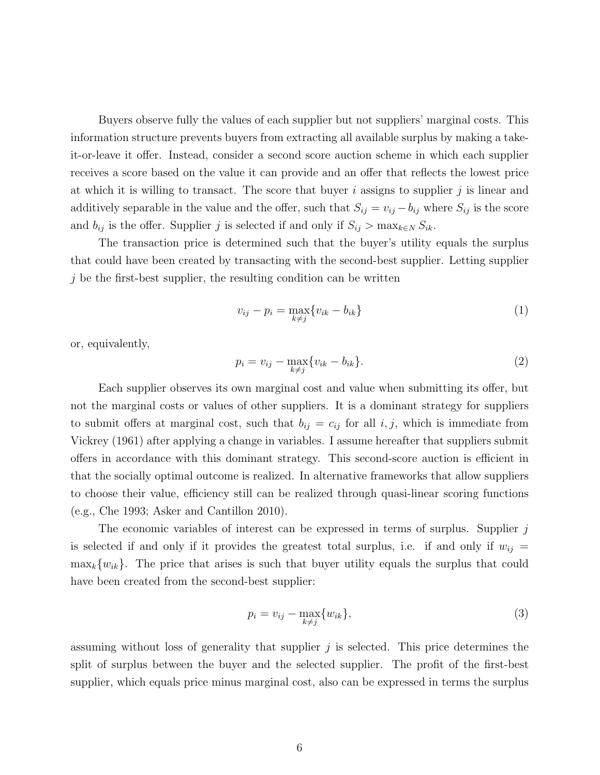Buyers observe fully the values of each supplier but not suppliers' marginal costs. This information structure prevents buyers from extracting all available surplus by making a takeit-or-leave it offer. Instead, consider a second score auction scheme in which each supplier receives a score based on the value it can provide and an offer that reflects the lowest price at which it is willing to transact. The score that buyer i assigns to supplier j is linear and additively separable in the value and the offer, such that  $S_{ij} = v_{ij} - b_{ij}$  where  $S_{ij}$  is the score and  $b_{ij}$  is the offer. Supplier j is selected if and only if  $S_{ij} > \max_{k \in N} S_{ik}$ .

The transaction price is determined such that the buyer's utility equals the surplus that could have been created by transacting with the second-best supplier. Letting supplier  $j$  be the first-best supplier, the resulting condition can be written

$$
v_{ij} - p_i = \max_{k \neq j} \{ v_{ik} - b_{ik} \}
$$
\n
$$
\tag{1}
$$

or, equivalently,

$$
p_i = v_{ij} - \max_{k \neq j} \{ v_{ik} - b_{ik} \}.
$$
 (2)

Each supplier observes its own marginal cost and value when submitting its offer, but not the marginal costs or values of other suppliers. It is a dominant strategy for suppliers to submit offers at marginal cost, such that  $b_{ij} = c_{ij}$  for all  $i, j$ , which is immediate from Vickrey (1961) after applying a change in variables. I assume hereafter that suppliers submit offers in accordance with this dominant strategy. This second-score auction is efficient in that the socially optimal outcome is realized. In alternative frameworks that allow suppliers to choose their value, efficiency still can be realized through quasi-linear scoring functions (e.g., Che 1993; Asker and Cantillon 2010).

The economic variables of interest can be expressed in terms of surplus. Supplier  $j$ is selected if and only if it provides the greatest total surplus, i.e. if and only if  $w_{ij}$  =  $\max_k \{w_{ik}\}.$  The price that arises is such that buyer utility equals the surplus that could have been created from the second-best supplier:

$$
p_i = v_{ij} - \max_{k \neq j} \{w_{ik}\},\tag{3}
$$

assuming without loss of generality that supplier  $j$  is selected. This price determines the split of surplus between the buyer and the selected supplier. The profit of the first-best supplier, which equals price minus marginal cost, also can be expressed in terms the surplus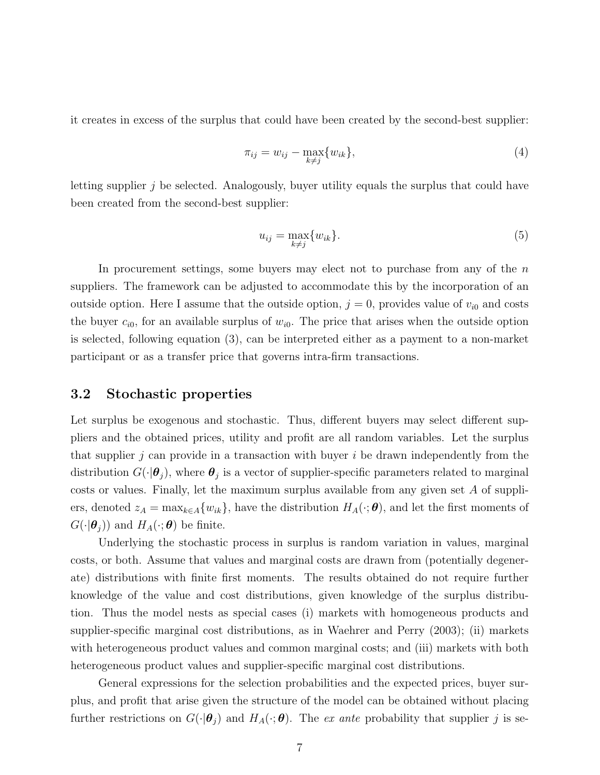it creates in excess of the surplus that could have been created by the second-best supplier:

$$
\pi_{ij} = w_{ij} - \max_{k \neq j} \{w_{ik}\},\tag{4}
$$

letting supplier j be selected. Analogously, buyer utility equals the surplus that could have been created from the second-best supplier:

$$
u_{ij} = \max_{k \neq j} \{w_{ik}\}.
$$
\n
$$
(5)
$$

In procurement settings, some buyers may elect not to purchase from any of the  $n$ suppliers. The framework can be adjusted to accommodate this by the incorporation of an outside option. Here I assume that the outside option,  $j = 0$ , provides value of  $v_{i0}$  and costs the buyer  $c_{i0}$ , for an available surplus of  $w_{i0}$ . The price that arises when the outside option is selected, following equation (3), can be interpreted either as a payment to a non-market participant or as a transfer price that governs intra-firm transactions.

#### 3.2 Stochastic properties

Let surplus be exogenous and stochastic. Thus, different buyers may select different suppliers and the obtained prices, utility and profit are all random variables. Let the surplus that supplier j can provide in a transaction with buyer  $i$  be drawn independently from the distribution  $G(\cdot|\boldsymbol{\theta}_j)$ , where  $\boldsymbol{\theta}_j$  is a vector of supplier-specific parameters related to marginal costs or values. Finally, let the maximum surplus available from any given set  $A$  of suppliers, denoted  $z_A = \max_{k \in A} \{w_{ik}\}\$ , have the distribution  $H_A(\cdot; \boldsymbol{\theta})$ , and let the first moments of  $G(\cdot|\boldsymbol{\theta}_j)$  and  $H_A(\cdot;\boldsymbol{\theta})$  be finite.

Underlying the stochastic process in surplus is random variation in values, marginal costs, or both. Assume that values and marginal costs are drawn from (potentially degenerate) distributions with finite first moments. The results obtained do not require further knowledge of the value and cost distributions, given knowledge of the surplus distribution. Thus the model nests as special cases (i) markets with homogeneous products and supplier-specific marginal cost distributions, as in Waehrer and Perry (2003); (ii) markets with heterogeneous product values and common marginal costs; and (iii) markets with both heterogeneous product values and supplier-specific marginal cost distributions.

General expressions for the selection probabilities and the expected prices, buyer surplus, and profit that arise given the structure of the model can be obtained without placing further restrictions on  $G(\cdot|\theta_j)$  and  $H_A(\cdot;\theta)$ . The ex ante probability that supplier j is se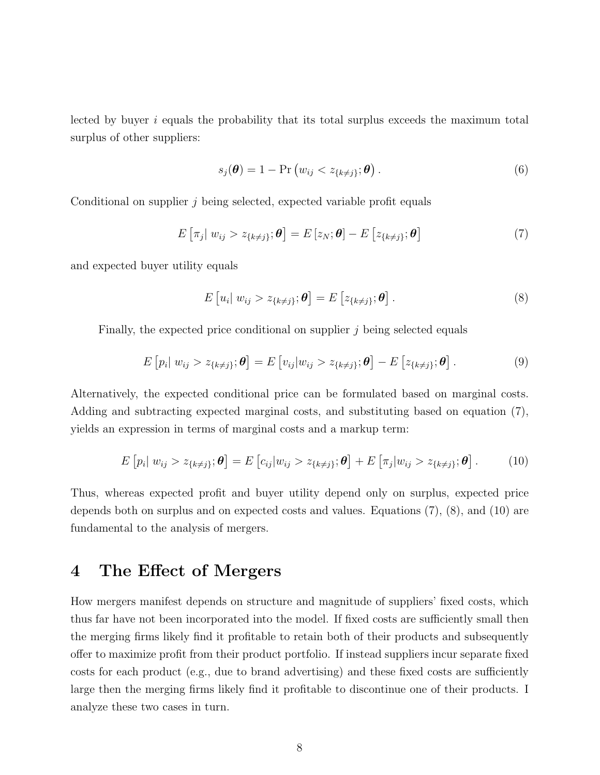lected by buyer i equals the probability that its total surplus exceeds the maximum total surplus of other suppliers:

$$
s_j(\boldsymbol{\theta}) = 1 - \Pr(w_{ij} < z_{\{k \neq j\}}; \boldsymbol{\theta}). \tag{6}
$$

Conditional on supplier  $j$  being selected, expected variable profit equals

$$
E\left[\pi_j \mid w_{ij} > z_{\{k \neq j\}}; \boldsymbol{\theta}\right] = E\left[z_N; \boldsymbol{\theta}\right] - E\left[z_{\{k \neq j\}}; \boldsymbol{\theta}\right]
$$
\n(7)

and expected buyer utility equals

$$
E[u_i|w_{ij} > z_{\{k\neq j\}};\boldsymbol{\theta}] = E[z_{\{k\neq j\}};\boldsymbol{\theta}]. \qquad (8)
$$

Finally, the expected price conditional on supplier j being selected equals

$$
E\left[p_i|\ w_{ij} > z_{\{k\neq j\}};\boldsymbol{\theta}\right] = E\left[v_{ij}|w_{ij} > z_{\{k\neq j\}};\boldsymbol{\theta}\right] - E\left[z_{\{k\neq j\}};\boldsymbol{\theta}\right].
$$
\n(9)

Alternatively, the expected conditional price can be formulated based on marginal costs. Adding and subtracting expected marginal costs, and substituting based on equation (7), yields an expression in terms of marginal costs and a markup term:

$$
E\left[p_i|\ w_{ij} > z_{\{k\neq j\}};\boldsymbol{\theta}\right] = E\left[c_{ij}|w_{ij} > z_{\{k\neq j\}};\boldsymbol{\theta}\right] + E\left[\pi_j|w_{ij} > z_{\{k\neq j\}};\boldsymbol{\theta}\right].\tag{10}
$$

Thus, whereas expected profit and buyer utility depend only on surplus, expected price depends both on surplus and on expected costs and values. Equations (7), (8), and (10) are fundamental to the analysis of mergers.

### 4 The Effect of Mergers

How mergers manifest depends on structure and magnitude of suppliers' fixed costs, which thus far have not been incorporated into the model. If fixed costs are sufficiently small then the merging firms likely find it profitable to retain both of their products and subsequently offer to maximize profit from their product portfolio. If instead suppliers incur separate fixed costs for each product (e.g., due to brand advertising) and these fixed costs are sufficiently large then the merging firms likely find it profitable to discontinue one of their products. I analyze these two cases in turn.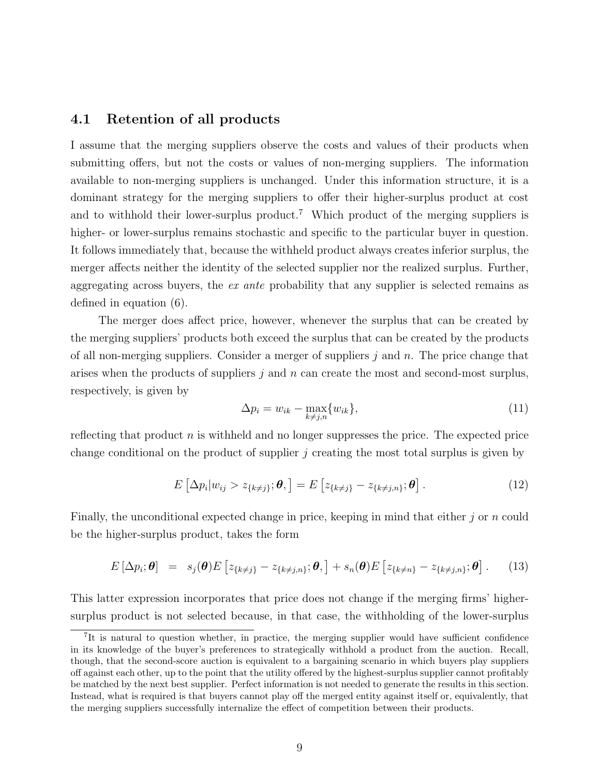### 4.1 Retention of all products

I assume that the merging suppliers observe the costs and values of their products when submitting offers, but not the costs or values of non-merging suppliers. The information available to non-merging suppliers is unchanged. Under this information structure, it is a dominant strategy for the merging suppliers to offer their higher-surplus product at cost and to withhold their lower-surplus product.<sup>7</sup> Which product of the merging suppliers is higher- or lower-surplus remains stochastic and specific to the particular buyer in question. It follows immediately that, because the withheld product always creates inferior surplus, the merger affects neither the identity of the selected supplier nor the realized surplus. Further, aggregating across buyers, the ex ante probability that any supplier is selected remains as defined in equation (6).

The merger does affect price, however, whenever the surplus that can be created by the merging suppliers' products both exceed the surplus that can be created by the products of all non-merging suppliers. Consider a merger of suppliers  $j$  and n. The price change that arises when the products of suppliers  $j$  and n can create the most and second-most surplus, respectively, is given by

$$
\Delta p_i = w_{ik} - \max_{k \neq j,n} \{w_{ik}\},\tag{11}
$$

reflecting that product  $n$  is withheld and no longer suppresses the price. The expected price change conditional on the product of supplier  $j$  creating the most total surplus is given by

$$
E\left[\Delta p_i|w_{ij} > z_{\{k\neq j\}};\boldsymbol{\theta},\right] = E\left[z_{\{k\neq j\}} - z_{\{k\neq j,n\}};\boldsymbol{\theta}\right].
$$
\n(12)

Finally, the unconditional expected change in price, keeping in mind that either  $j$  or  $n$  could be the higher-surplus product, takes the form

$$
E\left[\Delta p_i;\boldsymbol{\theta}\right] = s_j(\boldsymbol{\theta})E\left[z_{\{k\neq j\}} - z_{\{k\neq j,n\}};\boldsymbol{\theta},\right] + s_n(\boldsymbol{\theta})E\left[z_{\{k\neq n\}} - z_{\{k\neq j,n\}};\boldsymbol{\theta}\right].
$$
 (13)

This latter expression incorporates that price does not change if the merging firms' highersurplus product is not selected because, in that case, the withholding of the lower-surplus

<sup>7</sup> It is natural to question whether, in practice, the merging supplier would have sufficient confidence in its knowledge of the buyer's preferences to strategically withhold a product from the auction. Recall, though, that the second-score auction is equivalent to a bargaining scenario in which buyers play suppliers off against each other, up to the point that the utility offered by the highest-surplus supplier cannot profitably be matched by the next best supplier. Perfect information is not needed to generate the results in this section. Instead, what is required is that buyers cannot play off the merged entity against itself or, equivalently, that the merging suppliers successfully internalize the effect of competition between their products.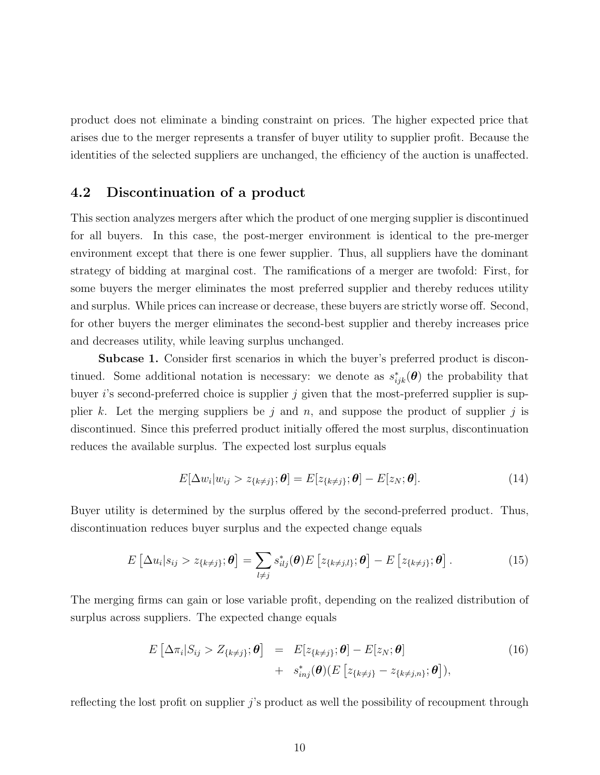product does not eliminate a binding constraint on prices. The higher expected price that arises due to the merger represents a transfer of buyer utility to supplier profit. Because the identities of the selected suppliers are unchanged, the efficiency of the auction is unaffected.

### 4.2 Discontinuation of a product

This section analyzes mergers after which the product of one merging supplier is discontinued for all buyers. In this case, the post-merger environment is identical to the pre-merger environment except that there is one fewer supplier. Thus, all suppliers have the dominant strategy of bidding at marginal cost. The ramifications of a merger are twofold: First, for some buyers the merger eliminates the most preferred supplier and thereby reduces utility and surplus. While prices can increase or decrease, these buyers are strictly worse off. Second, for other buyers the merger eliminates the second-best supplier and thereby increases price and decreases utility, while leaving surplus unchanged.

Subcase 1. Consider first scenarios in which the buyer's preferred product is discontinued. Some additional notation is necessary: we denote as  $s_{ijk}^*(\theta)$  the probability that buyer is second-preferred choice is supplier j given that the most-preferred supplier is supplier k. Let the merging suppliers be j and n, and suppose the product of supplier j is discontinued. Since this preferred product initially offered the most surplus, discontinuation reduces the available surplus. The expected lost surplus equals

$$
E[\Delta w_i|w_{ij} > z_{\{k \neq j\}}; \boldsymbol{\theta}] = E[z_{\{k \neq j\}}; \boldsymbol{\theta}] - E[z_N; \boldsymbol{\theta}]. \tag{14}
$$

Buyer utility is determined by the surplus offered by the second-preferred product. Thus, discontinuation reduces buyer surplus and the expected change equals

$$
E\left[\Delta u_i|s_{ij} > z_{\{k\neq j\}};\boldsymbol{\theta}\right] = \sum_{l\neq j} s_{ilj}^*(\boldsymbol{\theta}) E\left[z_{\{k\neq j,l\}};\boldsymbol{\theta}\right] - E\left[z_{\{k\neq j\}};\boldsymbol{\theta}\right].
$$
\n(15)

The merging firms can gain or lose variable profit, depending on the realized distribution of surplus across suppliers. The expected change equals

$$
E\left[\Delta\pi_i|S_{ij} > Z_{\{k\neq j\}};\boldsymbol{\theta}\right] = E[z_{\{k\neq j\}};\boldsymbol{\theta}] - E[z_N;\boldsymbol{\theta}] + s_{inj}^*(\boldsymbol{\theta})(E\left[z_{\{k\neq j\}} - z_{\{k\neq j,n\}};\boldsymbol{\theta}\right]),
$$
\n(16)

reflecting the lost profit on supplier j's product as well the possibility of recoupment through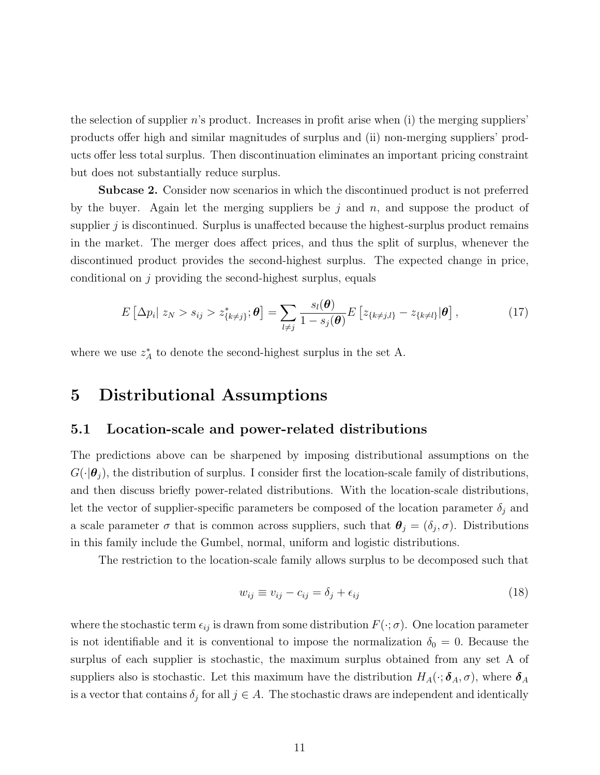the selection of supplier  $n$ 's product. Increases in profit arise when (i) the merging suppliers' products offer high and similar magnitudes of surplus and (ii) non-merging suppliers' products offer less total surplus. Then discontinuation eliminates an important pricing constraint but does not substantially reduce surplus.

Subcase 2. Consider now scenarios in which the discontinued product is not preferred by the buyer. Again let the merging suppliers be j and n, and suppose the product of supplier  $j$  is discontinued. Surplus is unaffected because the highest-surplus product remains in the market. The merger does affect prices, and thus the split of surplus, whenever the discontinued product provides the second-highest surplus. The expected change in price, conditional on  $j$  providing the second-highest surplus, equals

$$
E\left[\Delta p_i\big| z_N > s_{ij} > z_{\{k\neq j\}}^*, \boldsymbol{\theta}\right] = \sum_{l\neq j} \frac{s_l(\boldsymbol{\theta})}{1 - s_j(\boldsymbol{\theta})} E\left[z_{\{k\neq j,l\}} - z_{\{k\neq l\}}|\boldsymbol{\theta}\right],\tag{17}
$$

where we use  $z_A^*$  to denote the second-highest surplus in the set A.

### 5 Distributional Assumptions

#### 5.1 Location-scale and power-related distributions

The predictions above can be sharpened by imposing distributional assumptions on the  $G(\cdot|\boldsymbol{\theta}_i)$ , the distribution of surplus. I consider first the location-scale family of distributions, and then discuss briefly power-related distributions. With the location-scale distributions, let the vector of supplier-specific parameters be composed of the location parameter  $\delta_j$  and a scale parameter  $\sigma$  that is common across suppliers, such that  $\theta_j = (\delta_j, \sigma)$ . Distributions in this family include the Gumbel, normal, uniform and logistic distributions.

The restriction to the location-scale family allows surplus to be decomposed such that

$$
w_{ij} \equiv v_{ij} - c_{ij} = \delta_j + \epsilon_{ij} \tag{18}
$$

where the stochastic term  $\epsilon_{ij}$  is drawn from some distribution  $F(\cdot; \sigma)$ . One location parameter is not identifiable and it is conventional to impose the normalization  $\delta_0 = 0$ . Because the surplus of each supplier is stochastic, the maximum surplus obtained from any set A of suppliers also is stochastic. Let this maximum have the distribution  $H_A(\cdot; \delta_A, \sigma)$ , where  $\delta_A$ is a vector that contains  $\delta_j$  for all  $j \in A$ . The stochastic draws are independent and identically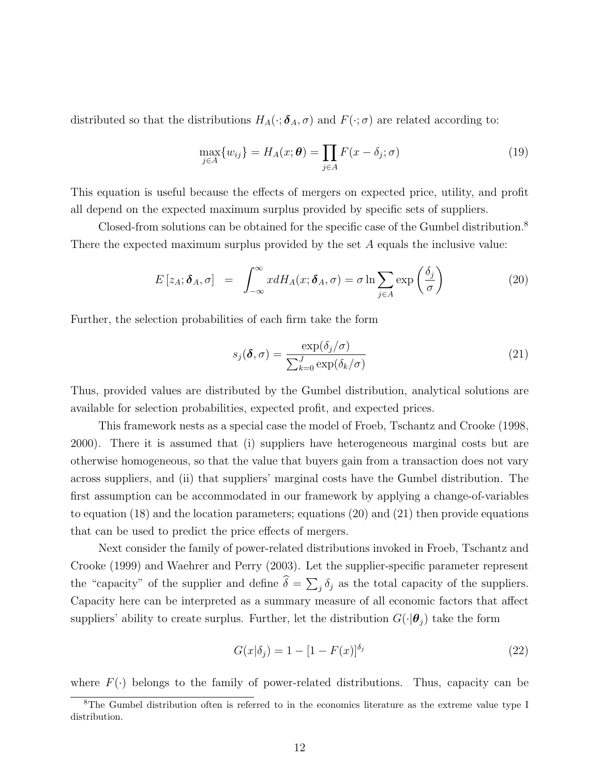distributed so that the distributions  $H_A(\cdot; \boldsymbol{\delta}_A, \sigma)$  and  $F(\cdot; \sigma)$  are related according to:

$$
\max_{j \in A} \{ w_{ij} \} = H_A(x; \boldsymbol{\theta}) = \prod_{j \in A} F(x - \delta_j; \sigma)
$$
\n(19)

This equation is useful because the effects of mergers on expected price, utility, and profit all depend on the expected maximum surplus provided by specific sets of suppliers.

Closed-from solutions can be obtained for the specific case of the Gumbel distribution.<sup>8</sup> There the expected maximum surplus provided by the set A equals the inclusive value:

$$
E\left[z_A;\boldsymbol{\delta}_A,\sigma\right] = \int_{-\infty}^{\infty} x dH_A(x;\boldsymbol{\delta}_A,\sigma) = \sigma \ln \sum_{j\in A} \exp\left(\frac{\delta_j}{\sigma}\right)
$$
(20)

Further, the selection probabilities of each firm take the form

$$
s_j(\boldsymbol{\delta}, \sigma) = \frac{\exp(\delta_j/\sigma)}{\sum_{k=0}^J \exp(\delta_k/\sigma)}
$$
(21)

Thus, provided values are distributed by the Gumbel distribution, analytical solutions are available for selection probabilities, expected profit, and expected prices.

This framework nests as a special case the model of Froeb, Tschantz and Crooke (1998, 2000). There it is assumed that (i) suppliers have heterogeneous marginal costs but are otherwise homogeneous, so that the value that buyers gain from a transaction does not vary across suppliers, and (ii) that suppliers' marginal costs have the Gumbel distribution. The first assumption can be accommodated in our framework by applying a change-of-variables to equation (18) and the location parameters; equations (20) and (21) then provide equations that can be used to predict the price effects of mergers.

Next consider the family of power-related distributions invoked in Froeb, Tschantz and Crooke (1999) and Waehrer and Perry (2003). Let the supplier-specific parameter represent the "capacity" of the supplier and define  $\delta = \sum_j \delta_j$  as the total capacity of the suppliers. Capacity here can be interpreted as a summary measure of all economic factors that affect suppliers' ability to create surplus. Further, let the distribution  $G(\cdot|\boldsymbol{\theta}_j)$  take the form

$$
G(x|\delta_j) = 1 - [1 - F(x)]^{\delta_j}
$$
\n(22)

where  $F(\cdot)$  belongs to the family of power-related distributions. Thus, capacity can be

<sup>&</sup>lt;sup>8</sup>The Gumbel distribution often is referred to in the economics literature as the extreme value type I distribution.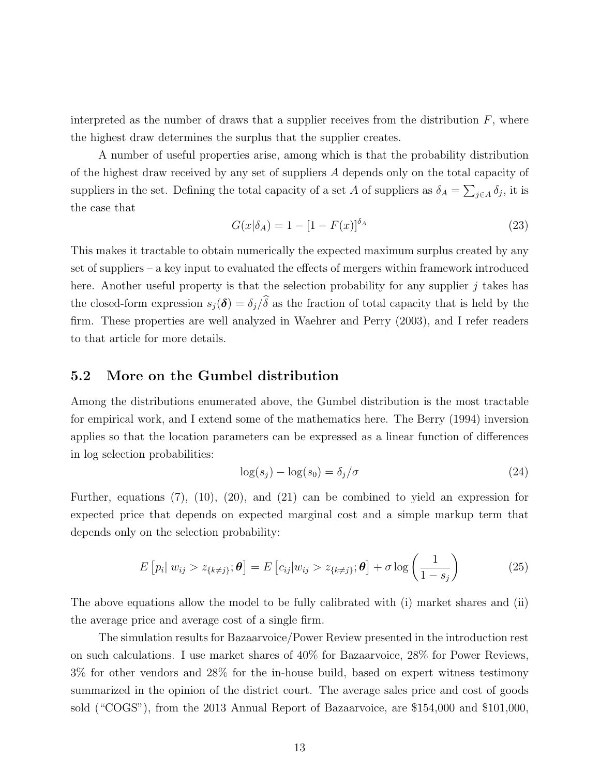interpreted as the number of draws that a supplier receives from the distribution  $F$ , where the highest draw determines the surplus that the supplier creates.

A number of useful properties arise, among which is that the probability distribution of the highest draw received by any set of suppliers A depends only on the total capacity of suppliers in the set. Defining the total capacity of a set A of suppliers as  $\delta_A = \sum_{j \in A} \delta_j$ , it is the case that

$$
G(x|\delta_A) = 1 - [1 - F(x)]^{\delta_A} \tag{23}
$$

This makes it tractable to obtain numerically the expected maximum surplus created by any set of suppliers – a key input to evaluated the effects of mergers within framework introduced here. Another useful property is that the selection probability for any supplier  $j$  takes has the closed-form expression  $s_j(\delta) = \delta_j/\hat{\delta}$  as the fraction of total capacity that is held by the firm. These properties are well analyzed in Waehrer and Perry (2003), and I refer readers to that article for more details.

#### 5.2 More on the Gumbel distribution

Among the distributions enumerated above, the Gumbel distribution is the most tractable for empirical work, and I extend some of the mathematics here. The Berry (1994) inversion applies so that the location parameters can be expressed as a linear function of differences in log selection probabilities:

$$
\log(s_j) - \log(s_0) = \delta_j/\sigma \tag{24}
$$

Further, equations (7), (10), (20), and (21) can be combined to yield an expression for expected price that depends on expected marginal cost and a simple markup term that depends only on the selection probability:

$$
E\left[p_i|\ w_{ij} > z_{\{k\neq j\}};\boldsymbol{\theta}\right] = E\left[c_{ij}|w_{ij} > z_{\{k\neq j\}};\boldsymbol{\theta}\right] + \sigma \log\left(\frac{1}{1-s_j}\right) \tag{25}
$$

The above equations allow the model to be fully calibrated with (i) market shares and (ii) the average price and average cost of a single firm.

The simulation results for Bazaarvoice/Power Review presented in the introduction rest on such calculations. I use market shares of 40% for Bazaarvoice, 28% for Power Reviews, 3% for other vendors and 28% for the in-house build, based on expert witness testimony summarized in the opinion of the district court. The average sales price and cost of goods sold ("COGS"), from the 2013 Annual Report of Bazaarvoice, are \$154,000 and \$101,000,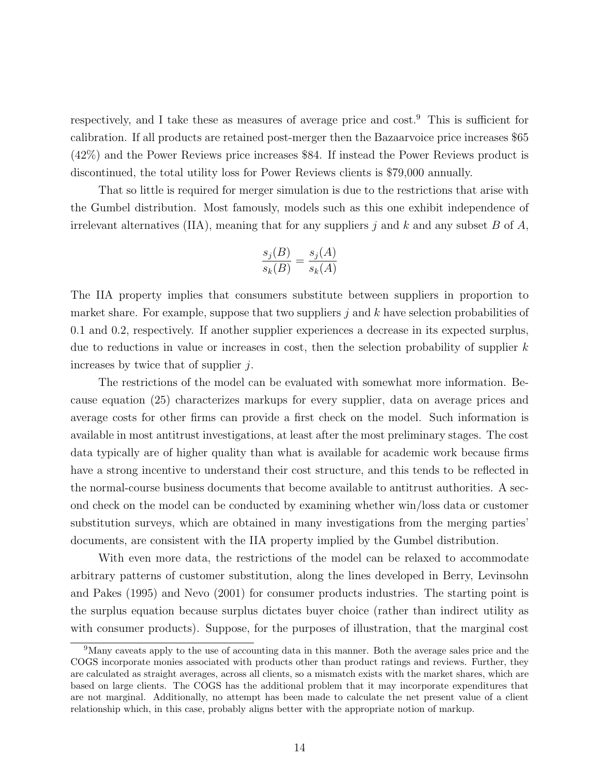respectively, and I take these as measures of average price and cost.<sup>9</sup> This is sufficient for calibration. If all products are retained post-merger then the Bazaarvoice price increases \$65 (42%) and the Power Reviews price increases \$84. If instead the Power Reviews product is discontinued, the total utility loss for Power Reviews clients is \$79,000 annually.

That so little is required for merger simulation is due to the restrictions that arise with the Gumbel distribution. Most famously, models such as this one exhibit independence of irrelevant alternatives (IIA), meaning that for any suppliers j and k and any subset B of A,

$$
\frac{s_j(B)}{s_k(B)} = \frac{s_j(A)}{s_k(A)}
$$

The IIA property implies that consumers substitute between suppliers in proportion to market share. For example, suppose that two suppliers  $j$  and  $k$  have selection probabilities of 0.1 and 0.2, respectively. If another supplier experiences a decrease in its expected surplus, due to reductions in value or increases in cost, then the selection probability of supplier  $k$ increases by twice that of supplier  $j$ .

The restrictions of the model can be evaluated with somewhat more information. Because equation (25) characterizes markups for every supplier, data on average prices and average costs for other firms can provide a first check on the model. Such information is available in most antitrust investigations, at least after the most preliminary stages. The cost data typically are of higher quality than what is available for academic work because firms have a strong incentive to understand their cost structure, and this tends to be reflected in the normal-course business documents that become available to antitrust authorities. A second check on the model can be conducted by examining whether win/loss data or customer substitution surveys, which are obtained in many investigations from the merging parties' documents, are consistent with the IIA property implied by the Gumbel distribution.

With even more data, the restrictions of the model can be relaxed to accommodate arbitrary patterns of customer substitution, along the lines developed in Berry, Levinsohn and Pakes (1995) and Nevo (2001) for consumer products industries. The starting point is the surplus equation because surplus dictates buyer choice (rather than indirect utility as with consumer products). Suppose, for the purposes of illustration, that the marginal cost

<sup>9</sup>Many caveats apply to the use of accounting data in this manner. Both the average sales price and the COGS incorporate monies associated with products other than product ratings and reviews. Further, they are calculated as straight averages, across all clients, so a mismatch exists with the market shares, which are based on large clients. The COGS has the additional problem that it may incorporate expenditures that are not marginal. Additionally, no attempt has been made to calculate the net present value of a client relationship which, in this case, probably aligns better with the appropriate notion of markup.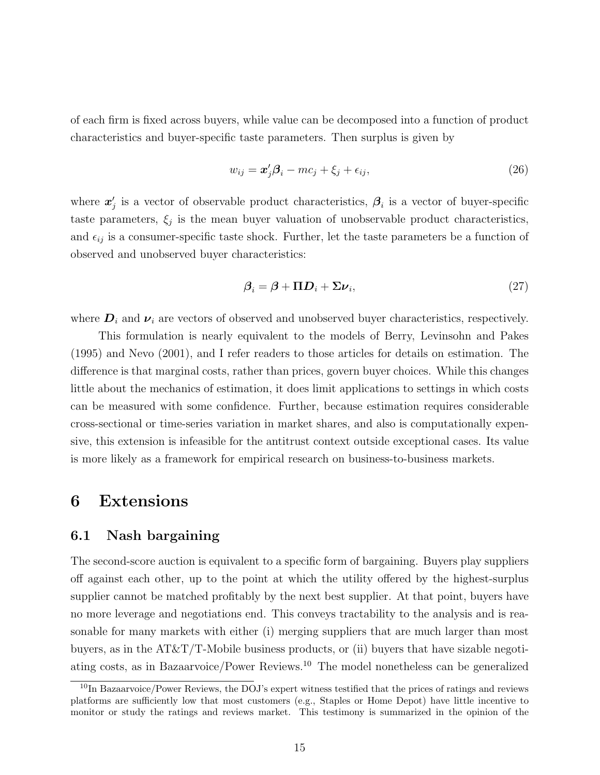of each firm is fixed across buyers, while value can be decomposed into a function of product characteristics and buyer-specific taste parameters. Then surplus is given by

$$
w_{ij} = \mathbf{x}'_j \mathbf{\beta}_i - m c_j + \xi_j + \epsilon_{ij},\tag{26}
$$

where  $x'_{j}$  is a vector of observable product characteristics,  $\beta_{i}$  is a vector of buyer-specific taste parameters,  $\xi_j$  is the mean buyer valuation of unobservable product characteristics, and  $\epsilon_{ij}$  is a consumer-specific taste shock. Further, let the taste parameters be a function of observed and unobserved buyer characteristics:

$$
\beta_i = \beta + \Pi D_i + \Sigma \nu_i, \tag{27}
$$

where  $D_i$  and  $\nu_i$  are vectors of observed and unobserved buyer characteristics, respectively.

This formulation is nearly equivalent to the models of Berry, Levinsohn and Pakes (1995) and Nevo (2001), and I refer readers to those articles for details on estimation. The difference is that marginal costs, rather than prices, govern buyer choices. While this changes little about the mechanics of estimation, it does limit applications to settings in which costs can be measured with some confidence. Further, because estimation requires considerable cross-sectional or time-series variation in market shares, and also is computationally expensive, this extension is infeasible for the antitrust context outside exceptional cases. Its value is more likely as a framework for empirical research on business-to-business markets.

### 6 Extensions

#### 6.1 Nash bargaining

The second-score auction is equivalent to a specific form of bargaining. Buyers play suppliers off against each other, up to the point at which the utility offered by the highest-surplus supplier cannot be matched profitably by the next best supplier. At that point, buyers have no more leverage and negotiations end. This conveys tractability to the analysis and is reasonable for many markets with either (i) merging suppliers that are much larger than most buyers, as in the  $AT\&T/T$ -Mobile business products, or (ii) buyers that have sizable negotiating costs, as in Bazaarvoice/Power Reviews.<sup>10</sup> The model nonetheless can be generalized

 $10$ In Bazaarvoice/Power Reviews, the DOJ's expert witness testified that the prices of ratings and reviews platforms are sufficiently low that most customers (e.g., Staples or Home Depot) have little incentive to monitor or study the ratings and reviews market. This testimony is summarized in the opinion of the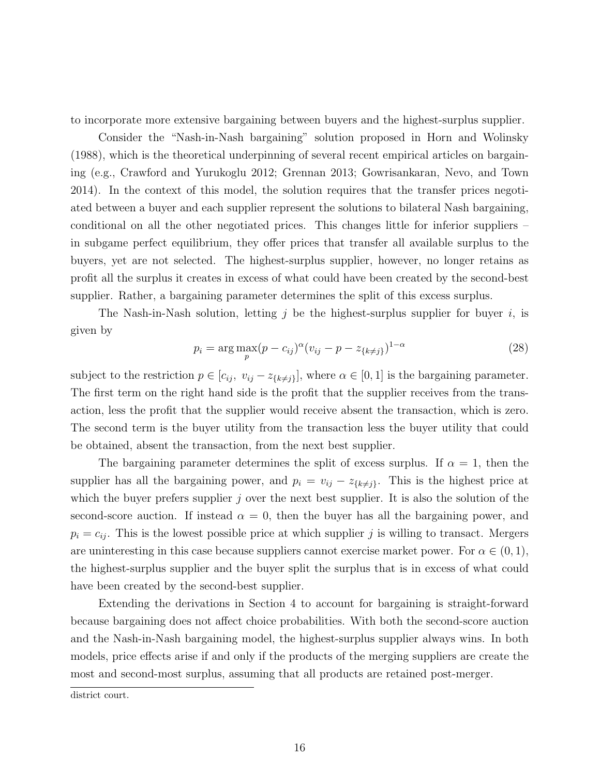to incorporate more extensive bargaining between buyers and the highest-surplus supplier.

Consider the "Nash-in-Nash bargaining" solution proposed in Horn and Wolinsky (1988), which is the theoretical underpinning of several recent empirical articles on bargaining (e.g., Crawford and Yurukoglu 2012; Grennan 2013; Gowrisankaran, Nevo, and Town 2014). In the context of this model, the solution requires that the transfer prices negotiated between a buyer and each supplier represent the solutions to bilateral Nash bargaining, conditional on all the other negotiated prices. This changes little for inferior suppliers – in subgame perfect equilibrium, they offer prices that transfer all available surplus to the buyers, yet are not selected. The highest-surplus supplier, however, no longer retains as profit all the surplus it creates in excess of what could have been created by the second-best supplier. Rather, a bargaining parameter determines the split of this excess surplus.

The Nash-in-Nash solution, letting  $j$  be the highest-surplus supplier for buyer  $i$ , is given by

$$
p_i = \arg \max_{p} (p - c_{ij})^{\alpha} (v_{ij} - p - z_{\{k \neq j\}})^{1 - \alpha}
$$
 (28)

subject to the restriction  $p \in [c_{ij}, v_{ij} - z_{\{k\neq j\}}]$ , where  $\alpha \in [0, 1]$  is the bargaining parameter. The first term on the right hand side is the profit that the supplier receives from the transaction, less the profit that the supplier would receive absent the transaction, which is zero. The second term is the buyer utility from the transaction less the buyer utility that could be obtained, absent the transaction, from the next best supplier.

The bargaining parameter determines the split of excess surplus. If  $\alpha = 1$ , then the supplier has all the bargaining power, and  $p_i = v_{ij} - z_{\{k\neq j\}}$ . This is the highest price at which the buyer prefers supplier  $j$  over the next best supplier. It is also the solution of the second-score auction. If instead  $\alpha = 0$ , then the buyer has all the bargaining power, and  $p_i = c_{ij}$ . This is the lowest possible price at which supplier j is willing to transact. Mergers are uninteresting in this case because suppliers cannot exercise market power. For  $\alpha \in (0,1)$ , the highest-surplus supplier and the buyer split the surplus that is in excess of what could have been created by the second-best supplier.

Extending the derivations in Section 4 to account for bargaining is straight-forward because bargaining does not affect choice probabilities. With both the second-score auction and the Nash-in-Nash bargaining model, the highest-surplus supplier always wins. In both models, price effects arise if and only if the products of the merging suppliers are create the most and second-most surplus, assuming that all products are retained post-merger.

district court.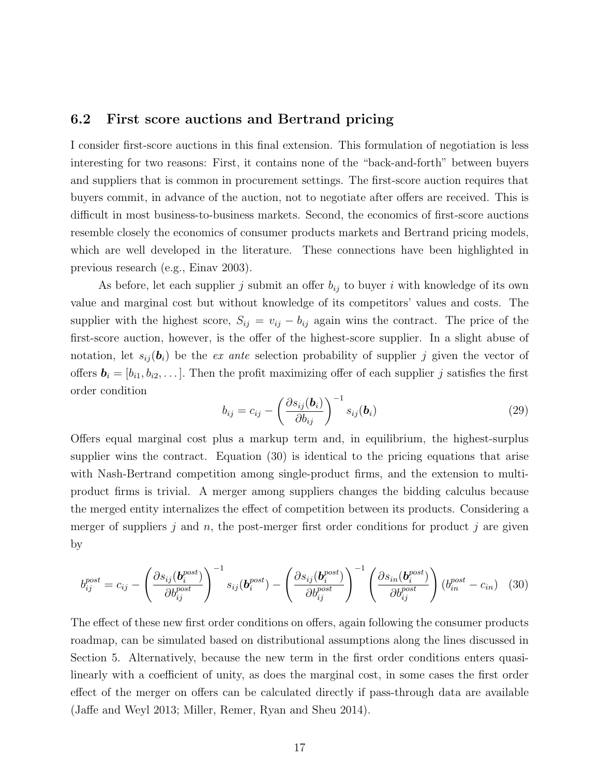### 6.2 First score auctions and Bertrand pricing

I consider first-score auctions in this final extension. This formulation of negotiation is less interesting for two reasons: First, it contains none of the "back-and-forth" between buyers and suppliers that is common in procurement settings. The first-score auction requires that buyers commit, in advance of the auction, not to negotiate after offers are received. This is difficult in most business-to-business markets. Second, the economics of first-score auctions resemble closely the economics of consumer products markets and Bertrand pricing models, which are well developed in the literature. These connections have been highlighted in previous research (e.g., Einav 2003).

As before, let each supplier j submit an offer  $b_{ij}$  to buyer i with knowledge of its own value and marginal cost but without knowledge of its competitors' values and costs. The supplier with the highest score,  $S_{ij} = v_{ij} - b_{ij}$  again wins the contract. The price of the first-score auction, however, is the offer of the highest-score supplier. In a slight abuse of notation, let  $s_{ij}(\boldsymbol{b}_i)$  be the ex ante selection probability of supplier j given the vector of offers  $\mathbf{b}_i = [b_{i1}, b_{i2}, \dots]$ . Then the profit maximizing offer of each supplier j satisfies the first order condition

$$
b_{ij} = c_{ij} - \left(\frac{\partial s_{ij}(\mathbf{b}_i)}{\partial b_{ij}}\right)^{-1} s_{ij}(\mathbf{b}_i)
$$
\n(29)

Offers equal marginal cost plus a markup term and, in equilibrium, the highest-surplus supplier wins the contract. Equation (30) is identical to the pricing equations that arise with Nash-Bertrand competition among single-product firms, and the extension to multiproduct firms is trivial. A merger among suppliers changes the bidding calculus because the merged entity internalizes the effect of competition between its products. Considering a merger of suppliers  $j$  and  $n$ , the post-merger first order conditions for product  $j$  are given by

$$
b_{ij}^{post} = c_{ij} - \left(\frac{\partial s_{ij}(\boldsymbol{b}_i^{post})}{\partial b_{ij}^{post}}\right)^{-1} s_{ij}(\boldsymbol{b}_i^{post}) - \left(\frac{\partial s_{ij}(\boldsymbol{b}_i^{post})}{\partial b_{ij}^{post}}\right)^{-1} \left(\frac{\partial s_{in}(\boldsymbol{b}_i^{post})}{\partial b_{ij}^{post}}\right) (b_{in}^{post} - c_{in}) \quad (30)
$$

The effect of these new first order conditions on offers, again following the consumer products roadmap, can be simulated based on distributional assumptions along the lines discussed in Section 5. Alternatively, because the new term in the first order conditions enters quasilinearly with a coefficient of unity, as does the marginal cost, in some cases the first order effect of the merger on offers can be calculated directly if pass-through data are available (Jaffe and Weyl 2013; Miller, Remer, Ryan and Sheu 2014).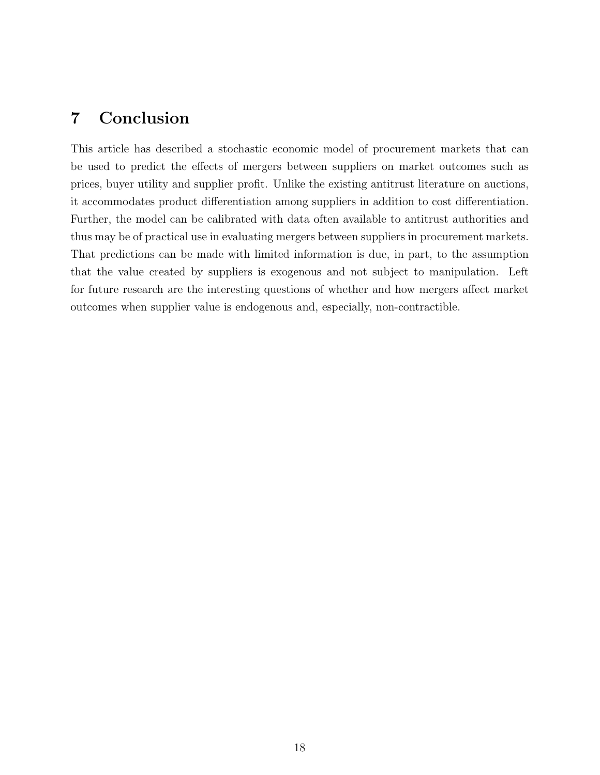## 7 Conclusion

This article has described a stochastic economic model of procurement markets that can be used to predict the effects of mergers between suppliers on market outcomes such as prices, buyer utility and supplier profit. Unlike the existing antitrust literature on auctions, it accommodates product differentiation among suppliers in addition to cost differentiation. Further, the model can be calibrated with data often available to antitrust authorities and thus may be of practical use in evaluating mergers between suppliers in procurement markets. That predictions can be made with limited information is due, in part, to the assumption that the value created by suppliers is exogenous and not subject to manipulation. Left for future research are the interesting questions of whether and how mergers affect market outcomes when supplier value is endogenous and, especially, non-contractible.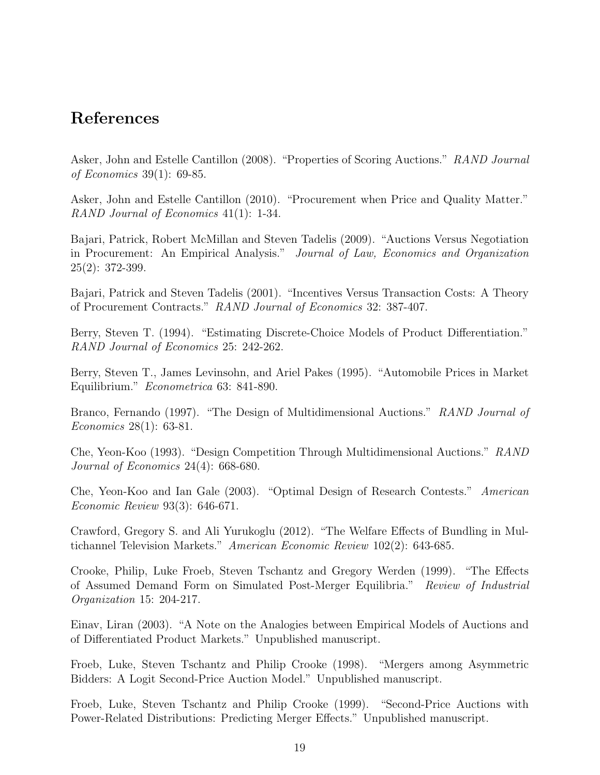### References

Asker, John and Estelle Cantillon (2008). "Properties of Scoring Auctions." RAND Journal of Economics 39(1): 69-85.

Asker, John and Estelle Cantillon (2010). "Procurement when Price and Quality Matter." RAND Journal of Economics 41(1): 1-34.

Bajari, Patrick, Robert McMillan and Steven Tadelis (2009). "Auctions Versus Negotiation in Procurement: An Empirical Analysis." Journal of Law, Economics and Organization 25(2): 372-399.

Bajari, Patrick and Steven Tadelis (2001). "Incentives Versus Transaction Costs: A Theory of Procurement Contracts." RAND Journal of Economics 32: 387-407.

Berry, Steven T. (1994). "Estimating Discrete-Choice Models of Product Differentiation." RAND Journal of Economics 25: 242-262.

Berry, Steven T., James Levinsohn, and Ariel Pakes (1995). "Automobile Prices in Market Equilibrium." Econometrica 63: 841-890.

Branco, Fernando (1997). "The Design of Multidimensional Auctions." RAND Journal of Economics 28(1): 63-81.

Che, Yeon-Koo (1993). "Design Competition Through Multidimensional Auctions." RAND Journal of Economics 24(4): 668-680.

Che, Yeon-Koo and Ian Gale (2003). "Optimal Design of Research Contests." American Economic Review 93(3): 646-671.

Crawford, Gregory S. and Ali Yurukoglu (2012). "The Welfare Effects of Bundling in Multichannel Television Markets." American Economic Review 102(2): 643-685.

Crooke, Philip, Luke Froeb, Steven Tschantz and Gregory Werden (1999). "The Effects of Assumed Demand Form on Simulated Post-Merger Equilibria." Review of Industrial Organization 15: 204-217.

Einav, Liran (2003). "A Note on the Analogies between Empirical Models of Auctions and of Differentiated Product Markets." Unpublished manuscript.

Froeb, Luke, Steven Tschantz and Philip Crooke (1998). "Mergers among Asymmetric Bidders: A Logit Second-Price Auction Model." Unpublished manuscript.

Froeb, Luke, Steven Tschantz and Philip Crooke (1999). "Second-Price Auctions with Power-Related Distributions: Predicting Merger Effects." Unpublished manuscript.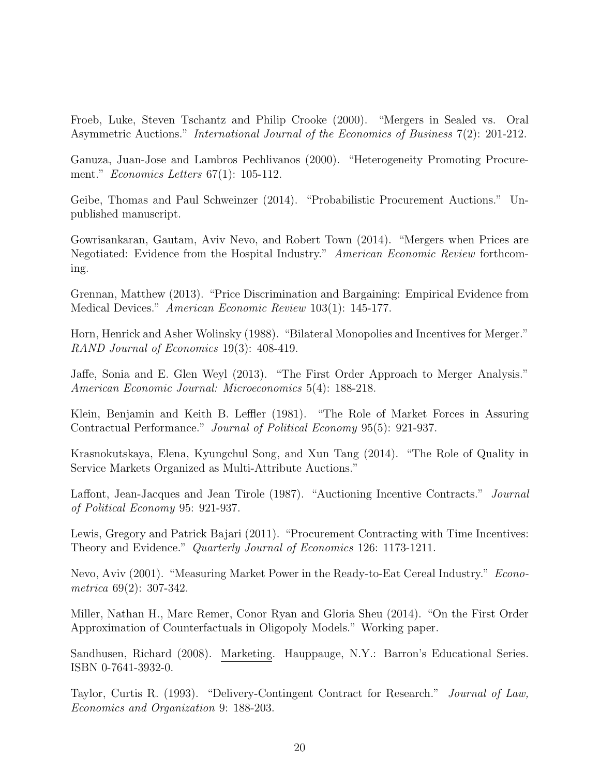Froeb, Luke, Steven Tschantz and Philip Crooke (2000). "Mergers in Sealed vs. Oral Asymmetric Auctions." International Journal of the Economics of Business 7(2): 201-212.

Ganuza, Juan-Jose and Lambros Pechlivanos (2000). "Heterogeneity Promoting Procurement." Economics Letters 67(1): 105-112.

Geibe, Thomas and Paul Schweinzer (2014). "Probabilistic Procurement Auctions." Unpublished manuscript.

Gowrisankaran, Gautam, Aviv Nevo, and Robert Town (2014). "Mergers when Prices are Negotiated: Evidence from the Hospital Industry." American Economic Review forthcoming.

Grennan, Matthew (2013). "Price Discrimination and Bargaining: Empirical Evidence from Medical Devices." American Economic Review 103(1): 145-177.

Horn, Henrick and Asher Wolinsky (1988). "Bilateral Monopolies and Incentives for Merger." RAND Journal of Economics 19(3): 408-419.

Jaffe, Sonia and E. Glen Weyl (2013). "The First Order Approach to Merger Analysis." American Economic Journal: Microeconomics 5(4): 188-218.

Klein, Benjamin and Keith B. Leffler (1981). "The Role of Market Forces in Assuring Contractual Performance." Journal of Political Economy 95(5): 921-937.

Krasnokutskaya, Elena, Kyungchul Song, and Xun Tang (2014). "The Role of Quality in Service Markets Organized as Multi-Attribute Auctions."

Laffont, Jean-Jacques and Jean Tirole (1987). "Auctioning Incentive Contracts." Journal of Political Economy 95: 921-937.

Lewis, Gregory and Patrick Bajari (2011). "Procurement Contracting with Time Incentives: Theory and Evidence." Quarterly Journal of Economics 126: 1173-1211.

Nevo, Aviv (2001). "Measuring Market Power in the Ready-to-Eat Cereal Industry." Econometrica 69(2): 307-342.

Miller, Nathan H., Marc Remer, Conor Ryan and Gloria Sheu (2014). "On the First Order Approximation of Counterfactuals in Oligopoly Models." Working paper.

Sandhusen, Richard (2008). Marketing. Hauppauge, N.Y.: Barron's Educational Series. ISBN 0-7641-3932-0.

Taylor, Curtis R. (1993). "Delivery-Contingent Contract for Research." Journal of Law, Economics and Organization 9: 188-203.